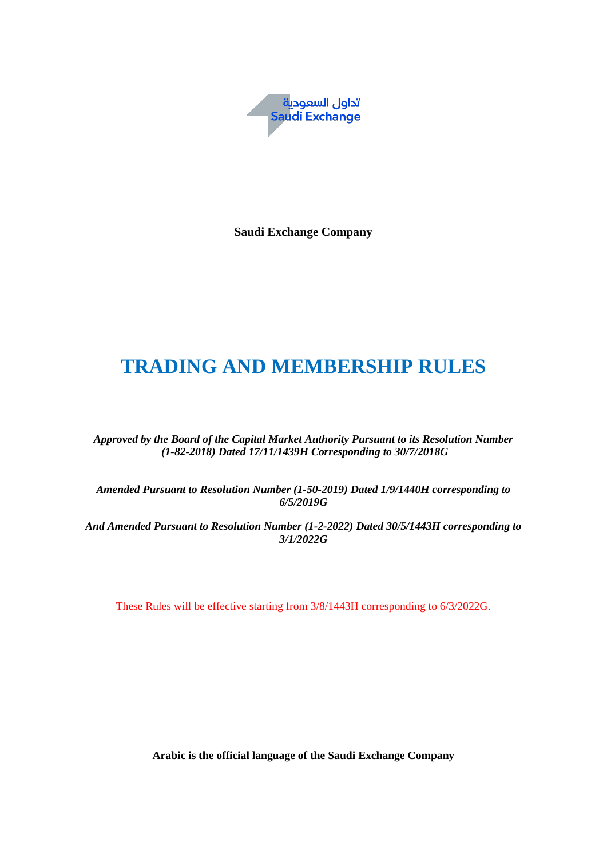

**Saudi Exchange Company**

# **TRADING AND MEMBERSHIP RULES**

*Approved by the Board of the Capital Market Authority Pursuant to its Resolution Number (1-82-2018) Dated 17/11/1439H Corresponding to 30/7/2018G*

*Amended Pursuant to Resolution Number (1-50-2019) Dated 1/9/1440H corresponding to 6/5/2019G*

*And Amended Pursuant to Resolution Number (1-2-2022) Dated 30/5/1443H corresponding to 3/1/2022G*

These Rules will be effective starting from 3/8/1443H corresponding to 6/3/2022G.

**Arabic is the official language of the Saudi Exchange Company**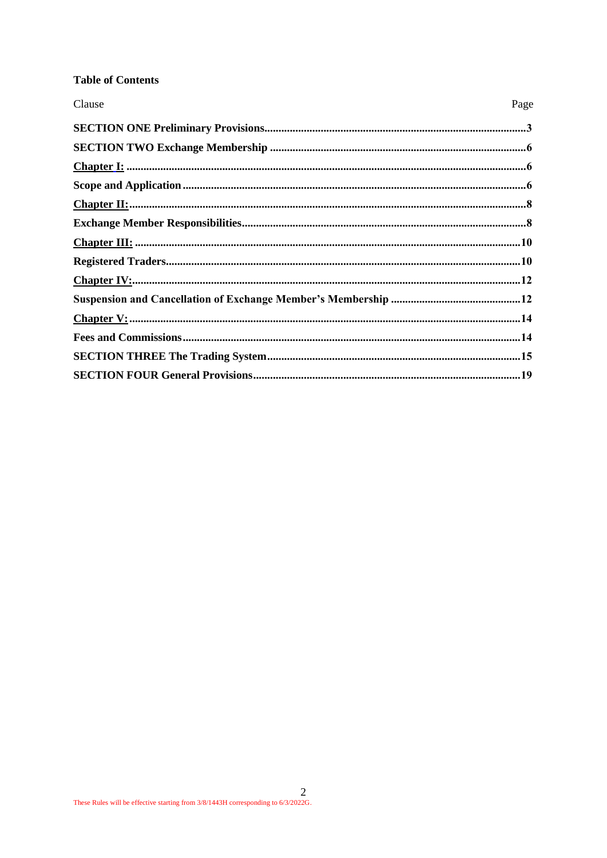# **Table of Contents**

| Clause | Page |
|--------|------|
|        |      |
|        |      |
|        |      |
|        |      |
|        |      |
|        |      |
|        |      |
|        |      |
|        |      |
|        |      |
|        |      |
|        |      |
|        |      |
|        |      |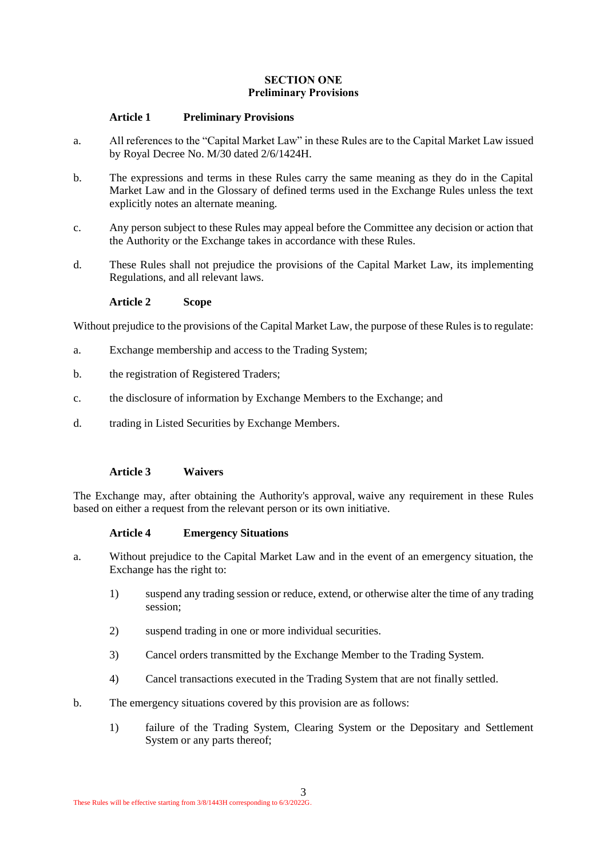#### **SECTION ONE Preliminary Provisions**

#### <span id="page-2-0"></span>**Article 1 Preliminary Provisions**

- a. All references to the "Capital Market Law" in these Rules are to the Capital Market Law issued by Royal Decree No. M/30 dated 2/6/1424H.
- b. The expressions and terms in these Rules carry the same meaning as they do in the Capital Market Law and in the Glossary of defined terms used in the Exchange Rules unless the text explicitly notes an alternate meaning.
- c. Any person subject to these Rules may appeal before the Committee any decision or action that the Authority or the Exchange takes in accordance with these Rules.
- d. These Rules shall not prejudice the provisions of the Capital Market Law, its implementing Regulations, and all relevant laws.

**Article 2 Scope**

Without prejudice to the provisions of the Capital Market Law, the purpose of these Rules is to regulate:

- a. Exchange membership and access to the Trading System;
- b. the registration of Registered Traders;
- c. the disclosure of information by Exchange Members to the Exchange; and
- d. trading in Listed Securities by Exchange Members.

#### **Article 3 Waivers**

The Exchange may, after obtaining the Authority's approval, waive any requirement in these Rules based on either a request from the relevant person or its own initiative.

#### **Article 4 Emergency Situations**

- a. Without prejudice to the Capital Market Law and in the event of an emergency situation, the Exchange has the right to:
	- 1) suspend any trading session or reduce, extend, or otherwise alter the time of any trading session;
	- 2) suspend trading in one or more individual securities.
	- 3) Cancel orders transmitted by the Exchange Member to the Trading System.
	- 4) Cancel transactions executed in the Trading System that are not finally settled.
- b. The emergency situations covered by this provision are as follows:
	- 1) failure of the Trading System, Clearing System or the Depositary and Settlement System or any parts thereof;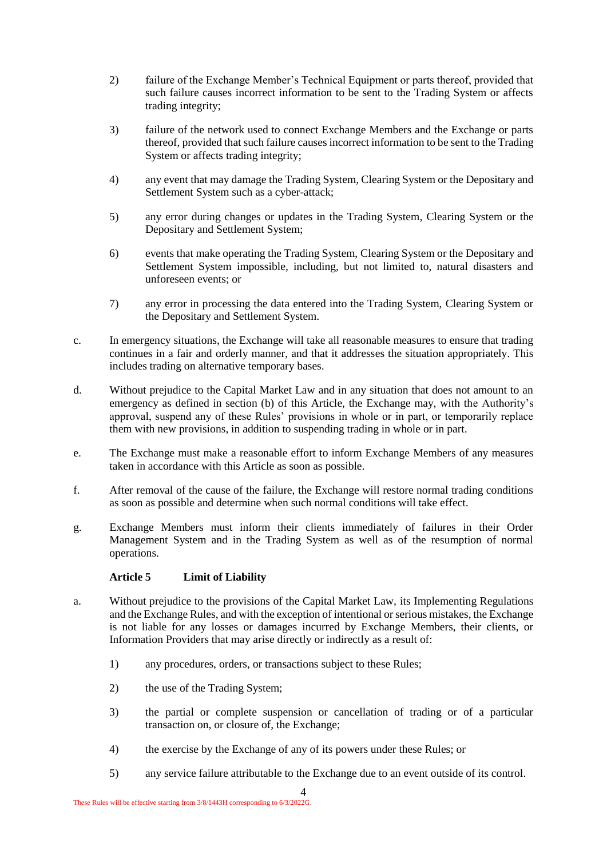- 2) failure of the Exchange Member's Technical Equipment or parts thereof, provided that such failure causes incorrect information to be sent to the Trading System or affects trading integrity;
- 3) failure of the network used to connect Exchange Members and the Exchange or parts thereof, provided that such failure causes incorrect information to be sent to the Trading System or affects trading integrity:
- 4) any event that may damage the Trading System, Clearing System or the Depositary and Settlement System such as a cyber-attack;
- 5) any error during changes or updates in the Trading System, Clearing System or the Depositary and Settlement System;
- 6) events that make operating the Trading System, Clearing System or the Depositary and Settlement System impossible, including, but not limited to, natural disasters and unforeseen events; or
- 7) any error in processing the data entered into the Trading System, Clearing System or the Depositary and Settlement System.
- c. In emergency situations, the Exchange will take all reasonable measures to ensure that trading continues in a fair and orderly manner, and that it addresses the situation appropriately. This includes trading on alternative temporary bases.
- d. Without prejudice to the Capital Market Law and in any situation that does not amount to an emergency as defined in section (b) of this Article, the Exchange may, with the Authority's approval, suspend any of these Rules' provisions in whole or in part, or temporarily replace them with new provisions, in addition to suspending trading in whole or in part.
- e. The Exchange must make a reasonable effort to inform Exchange Members of any measures taken in accordance with this Article as soon as possible.
- f. After removal of the cause of the failure, the Exchange will restore normal trading conditions as soon as possible and determine when such normal conditions will take effect.
- g. Exchange Members must inform their clients immediately of failures in their Order Management System and in the Trading System as well as of the resumption of normal operations.

#### **Article 5 Limit of Liability**

- a. Without prejudice to the provisions of the Capital Market Law, its Implementing Regulations and the Exchange Rules, and with the exception of intentional or serious mistakes, the Exchange is not liable for any losses or damages incurred by Exchange Members, their clients, or Information Providers that may arise directly or indirectly as a result of:
	- 1) any procedures, orders, or transactions subject to these Rules;
	- 2) the use of the Trading System;
	- 3) the partial or complete suspension or cancellation of trading or of a particular transaction on, or closure of, the Exchange;
	- 4) the exercise by the Exchange of any of its powers under these Rules; or
	- 5) any service failure attributable to the Exchange due to an event outside of its control.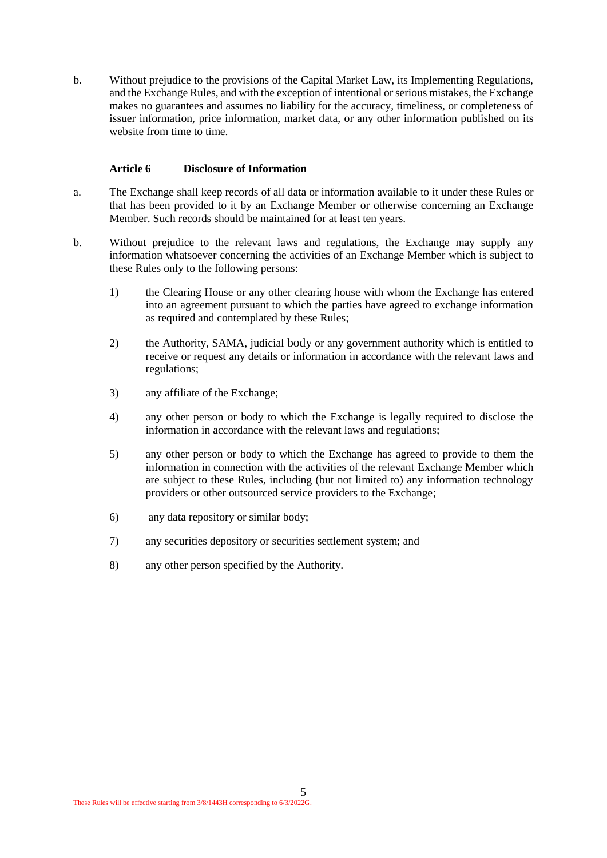b. Without prejudice to the provisions of the Capital Market Law, its Implementing Regulations, and the Exchange Rules, and with the exception of intentional or serious mistakes, the Exchange makes no guarantees and assumes no liability for the accuracy, timeliness, or completeness of issuer information, price information, market data, or any other information published on its website from time to time.

#### **Article 6 Disclosure of Information**

- a. The Exchange shall keep records of all data or information available to it under these Rules or that has been provided to it by an Exchange Member or otherwise concerning an Exchange Member. Such records should be maintained for at least ten years.
- b. Without prejudice to the relevant laws and regulations, the Exchange may supply any information whatsoever concerning the activities of an Exchange Member which is subject to these Rules only to the following persons:
	- 1) the Clearing House or any other clearing house with whom the Exchange has entered into an agreement pursuant to which the parties have agreed to exchange information as required and contemplated by these Rules;
	- 2) the Authority, SAMA, judicial body or any government authority which is entitled to receive or request any details or information in accordance with the relevant laws and regulations;
	- 3) any affiliate of the Exchange;
	- 4) any other person or body to which the Exchange is legally required to disclose the information in accordance with the relevant laws and regulations;
	- 5) any other person or body to which the Exchange has agreed to provide to them the information in connection with the activities of the relevant Exchange Member which are subject to these Rules, including (but not limited to) any information technology providers or other outsourced service providers to the Exchange;
	- 6) any data repository or similar body;
	- 7) any securities depository or securities settlement system; and
	- 8) any other person specified by the Authority.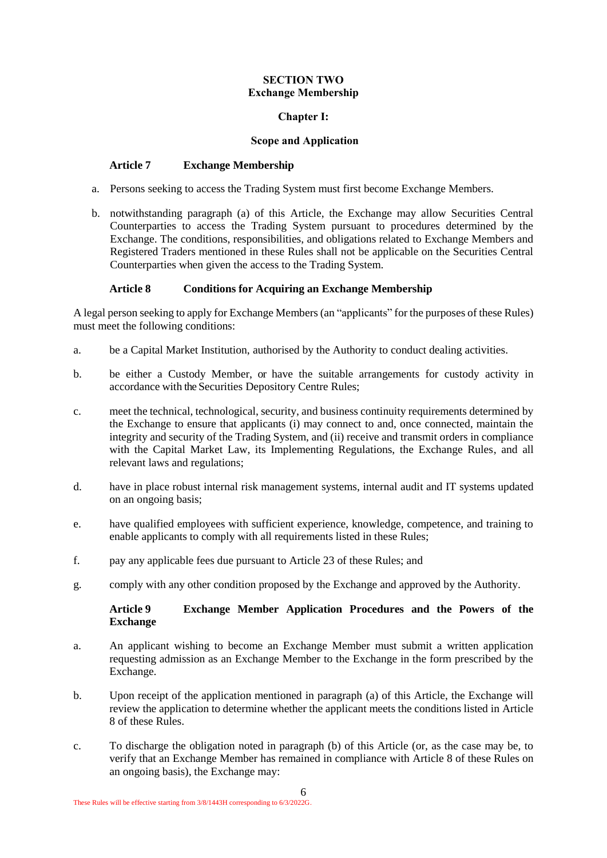#### **SECTION TWO Exchange Membership**

# **Chapter I:**

#### <span id="page-5-1"></span>**Scope and Application**

#### <span id="page-5-0"></span>**Article 7 Exchange Membership**

- a. Persons seeking to access the Trading System must first become Exchange Members.
- b. notwithstanding paragraph (a) of this Article, the Exchange may allow Securities Central Counterparties to access the Trading System pursuant to procedures determined by the Exchange. The conditions, responsibilities, and obligations related to Exchange Members and Registered Traders mentioned in these Rules shall not be applicable on the Securities Central Counterparties when given the access to the Trading System.

# <span id="page-5-2"></span>**Article 8 Conditions for Acquiring an Exchange Membership**

A legal person seeking to apply for Exchange Members (an "applicants" for the purposes of these Rules) must meet the following conditions:

- a. be a Capital Market Institution, authorised by the Authority to conduct dealing activities.
- b. be either a Custody Member, or have the suitable arrangements for custody activity in accordance with the Securities Depository Centre Rules;
- c. meet the technical, technological, security, and business continuity requirements determined by the Exchange to ensure that applicants (i) may connect to and, once connected, maintain the integrity and security of the Trading System, and (ii) receive and transmit orders in compliance with the Capital Market Law, its Implementing Regulations, the Exchange Rules, and all relevant laws and regulations;
- d. have in place robust internal risk management systems, internal audit and IT systems updated on an ongoing basis;
- e. have qualified employees with sufficient experience, knowledge, competence, and training to enable applicants to comply with all requirements listed in these Rules;
- f. pay any applicable fees due pursuant to [Article 23](#page-13-1) of these Rules; and
- g. comply with any other condition proposed by the Exchange and approved by the Authority.

# <span id="page-5-3"></span>**Article 9 Exchange Member Application Procedures and the Powers of the Exchange**

- a. An applicant wishing to become an Exchange Member must submit a written application requesting admission as an Exchange Member to the Exchange in the form prescribed by the Exchange.
- b. Upon receipt of the application mentioned in paragraph (a) of this Article, the Exchange will review the application to determine whether the applicant meets the conditions listed in [Article](#page-5-2)  [8](#page-5-2) of these Rules.
- c. To discharge the obligation noted in paragraph (b) of this Article (or, as the case may be, to verify that an Exchange Member has remained in compliance with [Article 8](#page-5-2) of these Rules on an ongoing basis), the Exchange may: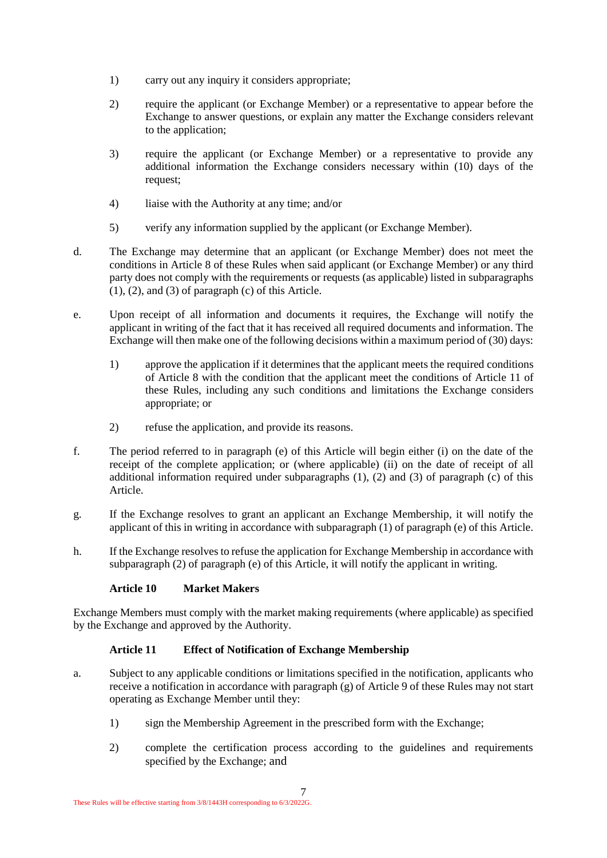- 1) carry out any inquiry it considers appropriate;
- 2) require the applicant (or Exchange Member) or a representative to appear before the Exchange to answer questions, or explain any matter the Exchange considers relevant to the application;
- 3) require the applicant (or Exchange Member) or a representative to provide any additional information the Exchange considers necessary within (10) days of the request;
- 4) liaise with the Authority at any time; and/or
- 5) verify any information supplied by the applicant (or Exchange Member).
- d. The Exchange may determine that an applicant (or Exchange Member) does not meet the conditions in [Article 8](#page-5-2) of these Rules when said applicant (or Exchange Member) or any third party does not comply with the requirements or requests (as applicable) listed in subparagraphs  $(1)$ ,  $(2)$ , and  $(3)$  of paragraph  $(c)$  of this Article.
- e. Upon receipt of all information and documents it requires, the Exchange will notify the applicant in writing of the fact that it has received all required documents and information. The Exchange will then make one of the following decisions within a maximum period of (30) days:
	- 1) approve the application if it determines that the applicant meets the required conditions of [Article 8](#page-5-2) with the condition that the applicant meet the conditions of [Article 11](#page-6-0) of these Rules, including any such conditions and limitations the Exchange considers appropriate; or
	- 2) refuse the application, and provide its reasons.
- f. The period referred to in paragraph (e) of this Article will begin either (i) on the date of the receipt of the complete application; or (where applicable) (ii) on the date of receipt of all additional information required under subparagraphs  $(1)$ ,  $(2)$  and  $(3)$  of paragraph  $(c)$  of this Article.
- g. If the Exchange resolves to grant an applicant an Exchange Membership, it will notify the applicant of this in writing in accordance with subparagraph (1) of paragraph (e) of this Article.
- h. If the Exchange resolves to refuse the application for Exchange Membership in accordance with subparagraph (2) of paragraph (e) of this Article, it will notify the applicant in writing.

#### **Article 10 Market Makers**

Exchange Members must comply with the market making requirements (where applicable) as specified by the Exchange and approved by the Authority.

# <span id="page-6-0"></span>**Article 11 Effect of Notification of Exchange Membership**

- a. Subject to any applicable conditions or limitations specified in the notification, applicants who receive a notification in accordance with paragraph (g) of [Article 9](#page-5-3) of these Rules may not start operating as Exchange Member until they:
	- 1) sign the Membership Agreement in the prescribed form with the Exchange;
	- 2) complete the certification process according to the guidelines and requirements specified by the Exchange; and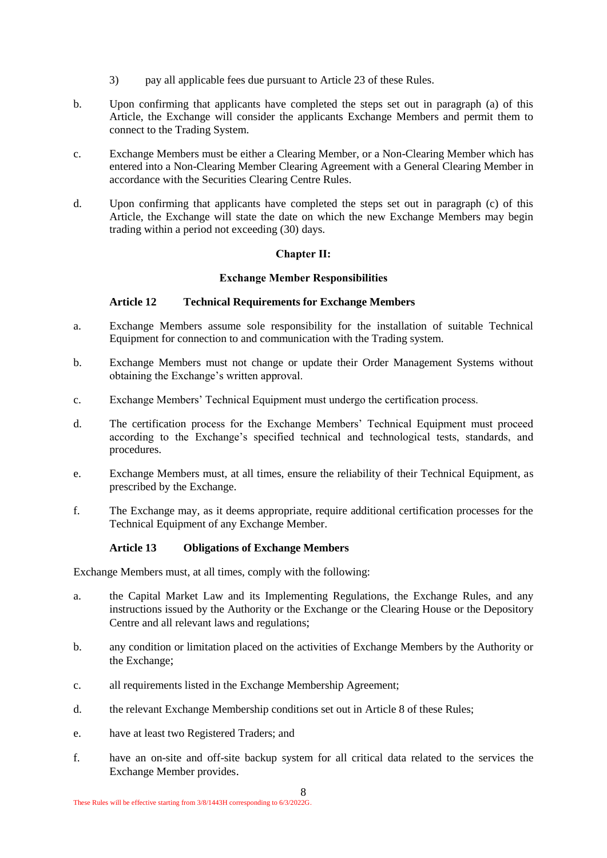- 3) pay all applicable fees due pursuant to [Article 23](#page-13-1) of these Rules.
- b. Upon confirming that applicants have completed the steps set out in paragraph (a) of this Article, the Exchange will consider the applicants Exchange Members and permit them to connect to the Trading System.
- c. Exchange Members must be either a Clearing Member, or a Non-Clearing Member which has entered into a Non-Clearing Member Clearing Agreement with a General Clearing Member in accordance with the Securities Clearing Centre Rules.
- d. Upon confirming that applicants have completed the steps set out in paragraph (c) of this Article, the Exchange will state the date on which the new Exchange Members may begin trading within a period not exceeding (30) days.

# **Chapter II:**

# **Exchange Member Responsibilities**

# <span id="page-7-0"></span>**Article 12 Technical Requirements for Exchange Members**

- a. Exchange Members assume sole responsibility for the installation of suitable Technical Equipment for connection to and communication with the Trading system.
- b. Exchange Members must not change or update their Order Management Systems without obtaining the Exchange's written approval.
- c. Exchange Members' Technical Equipment must undergo the certification process.
- d. The certification process for the Exchange Members' Technical Equipment must proceed according to the Exchange's specified technical and technological tests, standards, and procedures.
- e. Exchange Members must, at all times, ensure the reliability of their Technical Equipment, as prescribed by the Exchange.
- f. The Exchange may, as it deems appropriate, require additional certification processes for the Technical Equipment of any Exchange Member.

# **Article 13 Obligations of Exchange Members**

Exchange Members must, at all times, comply with the following:

- a. the Capital Market Law and its Implementing Regulations, the Exchange Rules, and any instructions issued by the Authority or the Exchange or the Clearing House or the Depository Centre and all relevant laws and regulations;
- b. any condition or limitation placed on the activities of Exchange Members by the Authority or the Exchange;
- c. all requirements listed in the Exchange Membership Agreement;
- d. the relevant Exchange Membership conditions set out in Article 8 of these Rules;
- e. have at least two Registered Traders; and
- f. have an on-site and off-site backup system for all critical data related to the services the Exchange Member provides.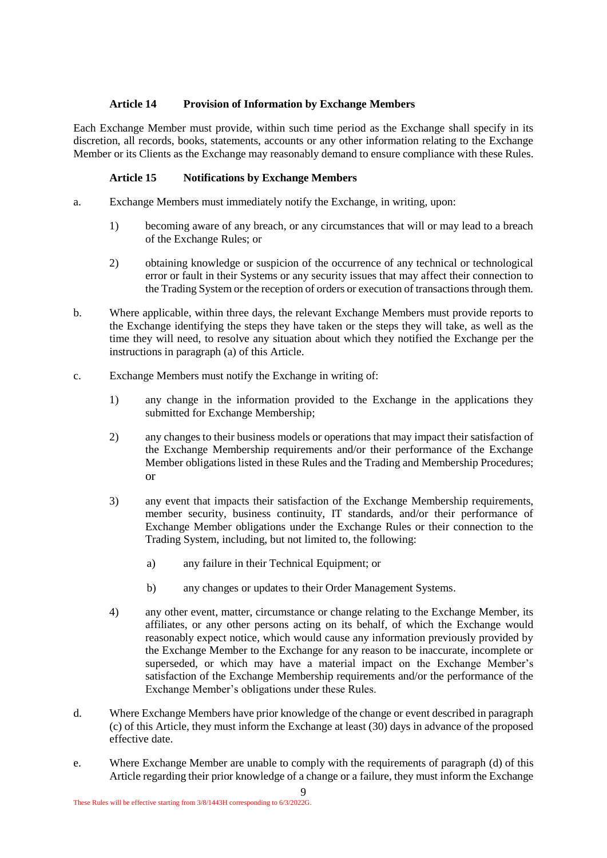# **Article 14 Provision of Information by Exchange Members**

Each Exchange Member must provide, within such time period as the Exchange shall specify in its discretion, all records, books, statements, accounts or any other information relating to the Exchange Member or its Clients as the Exchange may reasonably demand to ensure compliance with these Rules.

# **Article 15 Notifications by Exchange Members**

- a. Exchange Members must immediately notify the Exchange, in writing, upon:
	- 1) becoming aware of any breach, or any circumstances that will or may lead to a breach of the Exchange Rules; or
	- 2) obtaining knowledge or suspicion of the occurrence of any technical or technological error or fault in their Systems or any security issues that may affect their connection to the Trading System or the reception of orders or execution of transactions through them.
- b. Where applicable, within three days, the relevant Exchange Members must provide reports to the Exchange identifying the steps they have taken or the steps they will take, as well as the time they will need, to resolve any situation about which they notified the Exchange per the instructions in paragraph (a) of this Article.
- c. Exchange Members must notify the Exchange in writing of:
	- 1) any change in the information provided to the Exchange in the applications they submitted for Exchange Membership;
	- 2) any changes to their business models or operations that may impact their satisfaction of the Exchange Membership requirements and/or their performance of the Exchange Member obligations listed in these Rules and the Trading and Membership Procedures; or
	- 3) any event that impacts their satisfaction of the Exchange Membership requirements, member security, business continuity, IT standards, and/or their performance of Exchange Member obligations under the Exchange Rules or their connection to the Trading System, including, but not limited to, the following:
		- a) any failure in their Technical Equipment; or
		- b) any changes or updates to their Order Management Systems.
	- 4) any other event, matter, circumstance or change relating to the Exchange Member, its affiliates, or any other persons acting on its behalf, of which the Exchange would reasonably expect notice, which would cause any information previously provided by the Exchange Member to the Exchange for any reason to be inaccurate, incomplete or superseded, or which may have a material impact on the Exchange Member's satisfaction of the Exchange Membership requirements and/or the performance of the Exchange Member's obligations under these Rules.
- d. Where Exchange Members have prior knowledge of the change or event described in paragraph (c) of this Article, they must inform the Exchange at least (30) days in advance of the proposed effective date.
- e. Where Exchange Member are unable to comply with the requirements of paragraph (d) of this Article regarding their prior knowledge of a change or a failure, they must inform the Exchange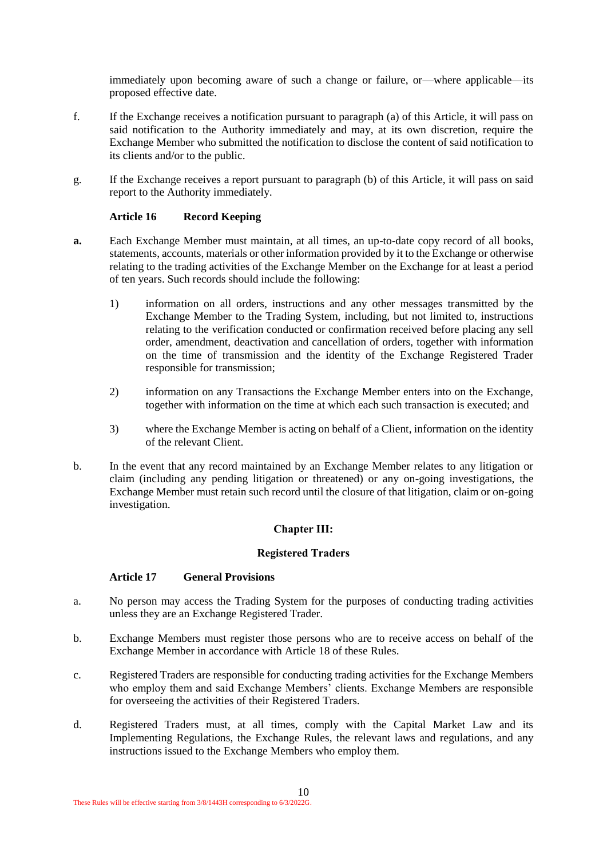immediately upon becoming aware of such a change or failure, or—where applicable—its proposed effective date.

- f. If the Exchange receives a notification pursuant to paragraph (a) of this Article, it will pass on said notification to the Authority immediately and may, at its own discretion, require the Exchange Member who submitted the notification to disclose the content of said notification to its clients and/or to the public.
- g. If the Exchange receives a report pursuant to paragraph (b) of this Article, it will pass on said report to the Authority immediately.

#### **Article 16 Record Keeping**

- **a.** Each Exchange Member must maintain, at all times, an up-to-date copy record of all books, statements, accounts, materials or other information provided by it to the Exchange or otherwise relating to the trading activities of the Exchange Member on the Exchange for at least a period of ten years. Such records should include the following:
	- 1) information on all orders, instructions and any other messages transmitted by the Exchange Member to the Trading System, including, but not limited to, instructions relating to the verification conducted or confirmation received before placing any sell order, amendment, deactivation and cancellation of orders, together with information on the time of transmission and the identity of the Exchange Registered Trader responsible for transmission;
	- 2) information on any Transactions the Exchange Member enters into on the Exchange, together with information on the time at which each such transaction is executed; and
	- 3) where the Exchange Member is acting on behalf of a Client, information on the identity of the relevant Client.
- b. In the event that any record maintained by an Exchange Member relates to any litigation or claim (including any pending litigation or threatened) or any on-going investigations, the Exchange Member must retain such record until the closure of that litigation, claim or on-going investigation.

#### **Chapter III:**

#### **Registered Traders**

#### <span id="page-9-0"></span>**Article 17 General Provisions**

- a. No person may access the Trading System for the purposes of conducting trading activities unless they are an Exchange Registered Trader.
- b. Exchange Members must register those persons who are to receive access on behalf of the Exchange Member in accordance with Article 18 of these Rules.
- c. Registered Traders are responsible for conducting trading activities for the Exchange Members who employ them and said Exchange Members' clients. Exchange Members are responsible for overseeing the activities of their Registered Traders.
- d. Registered Traders must, at all times, comply with the Capital Market Law and its Implementing Regulations, the Exchange Rules, the relevant laws and regulations, and any instructions issued to the Exchange Members who employ them.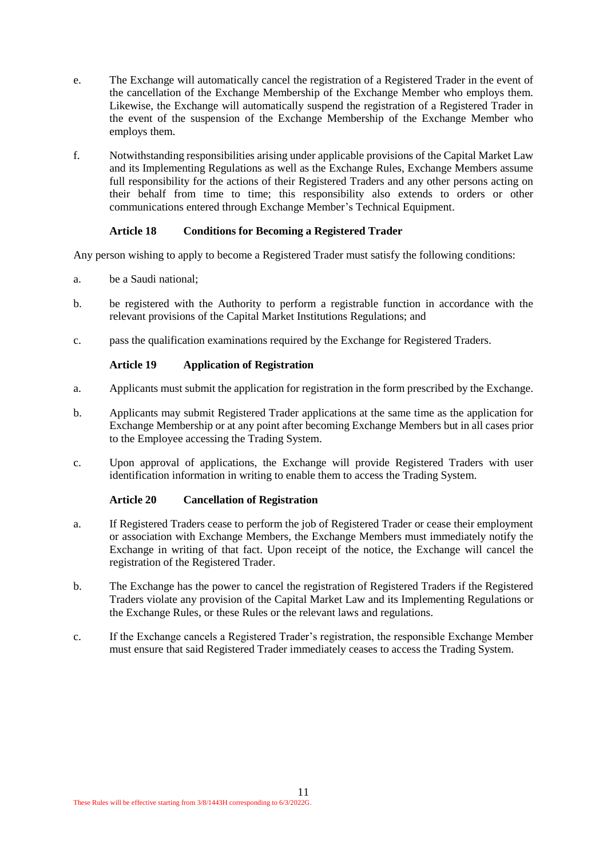- e. The Exchange will automatically cancel the registration of a Registered Trader in the event of the cancellation of the Exchange Membership of the Exchange Member who employs them. Likewise, the Exchange will automatically suspend the registration of a Registered Trader in the event of the suspension of the Exchange Membership of the Exchange Member who employs them.
- f. Notwithstanding responsibilities arising under applicable provisions of the Capital Market Law and its Implementing Regulations as well as the Exchange Rules, Exchange Members assume full responsibility for the actions of their Registered Traders and any other persons acting on their behalf from time to time; this responsibility also extends to orders or other communications entered through Exchange Member's Technical Equipment.

# **Article 18 Conditions for Becoming a Registered Trader**

Any person wishing to apply to become a Registered Trader must satisfy the following conditions:

- a. be a Saudi national;
- b. be registered with the Authority to perform a registrable function in accordance with the relevant provisions of the Capital Market Institutions Regulations; and
- c. pass the qualification examinations required by the Exchange for Registered Traders.

# **Article 19 Application of Registration**

- a. Applicants must submit the application for registration in the form prescribed by the Exchange.
- b. Applicants may submit Registered Trader applications at the same time as the application for Exchange Membership or at any point after becoming Exchange Members but in all cases prior to the Employee accessing the Trading System.
- c. Upon approval of applications, the Exchange will provide Registered Traders with user identification information in writing to enable them to access the Trading System.

#### **Article 20 Cancellation of Registration**

- a. If Registered Traders cease to perform the job of Registered Trader or cease their employment or association with Exchange Members, the Exchange Members must immediately notify the Exchange in writing of that fact. Upon receipt of the notice, the Exchange will cancel the registration of the Registered Trader.
- b. The Exchange has the power to cancel the registration of Registered Traders if the Registered Traders violate any provision of the Capital Market Law and its Implementing Regulations or the Exchange Rules, or these Rules or the relevant laws and regulations.
- c. If the Exchange cancels a Registered Trader's registration, the responsible Exchange Member must ensure that said Registered Trader immediately ceases to access the Trading System.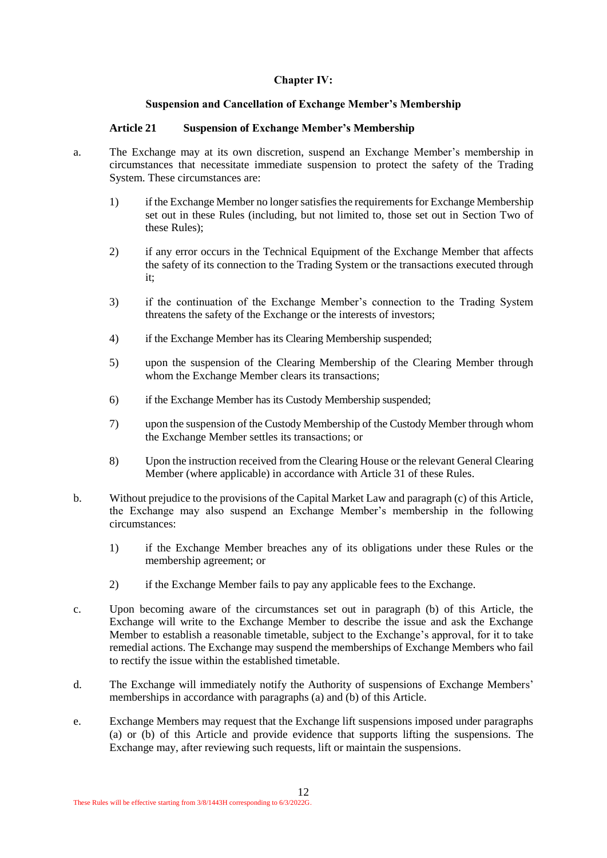# **Chapter IV:**

# <span id="page-11-1"></span>**Suspension and Cancellation of Exchange Member's Membership**

#### <span id="page-11-0"></span>**Article 21 Suspension of Exchange Member's Membership**

- a. The Exchange may at its own discretion, suspend an Exchange Member's membership in circumstances that necessitate immediate suspension to protect the safety of the Trading System. These circumstances are:
	- 1) if the Exchange Member no longer satisfies the requirements for Exchange Membership set out in these Rules (including, but not limited to, those set out in Section Two of these Rules);
	- 2) if any error occurs in the Technical Equipment of the Exchange Member that affects the safety of its connection to the Trading System or the transactions executed through it;
	- 3) if the continuation of the Exchange Member's connection to the Trading System threatens the safety of the Exchange or the interests of investors;
	- 4) if the Exchange Member has its Clearing Membership suspended;
	- 5) upon the suspension of the Clearing Membership of the Clearing Member through whom the Exchange Member clears its transactions;
	- 6) if the Exchange Member has its Custody Membership suspended;
	- 7) upon the suspension of the Custody Membership of the Custody Member through whom the Exchange Member settles its transactions; or
	- 8) Upon the instruction received from the Clearing House or the relevant General Clearing Member (where applicable) in accordance with Article 31 of these Rules.
- b. Without prejudice to the provisions of the Capital Market Law and paragraph (c) of this Article, the Exchange may also suspend an Exchange Member's membership in the following circumstances:
	- 1) if the Exchange Member breaches any of its obligations under these Rules or the membership agreement; or
	- 2) if the Exchange Member fails to pay any applicable fees to the Exchange.
- c. Upon becoming aware of the circumstances set out in paragraph (b) of this Article, the Exchange will write to the Exchange Member to describe the issue and ask the Exchange Member to establish a reasonable timetable, subject to the Exchange's approval, for it to take remedial actions. The Exchange may suspend the memberships of Exchange Members who fail to rectify the issue within the established timetable.
- d. The Exchange will immediately notify the Authority of suspensions of Exchange Members' memberships in accordance with paragraphs (a) and (b) of this Article.
- e. Exchange Members may request that the Exchange lift suspensions imposed under paragraphs (a) or (b) of this Article and provide evidence that supports lifting the suspensions. The Exchange may, after reviewing such requests, lift or maintain the suspensions.

12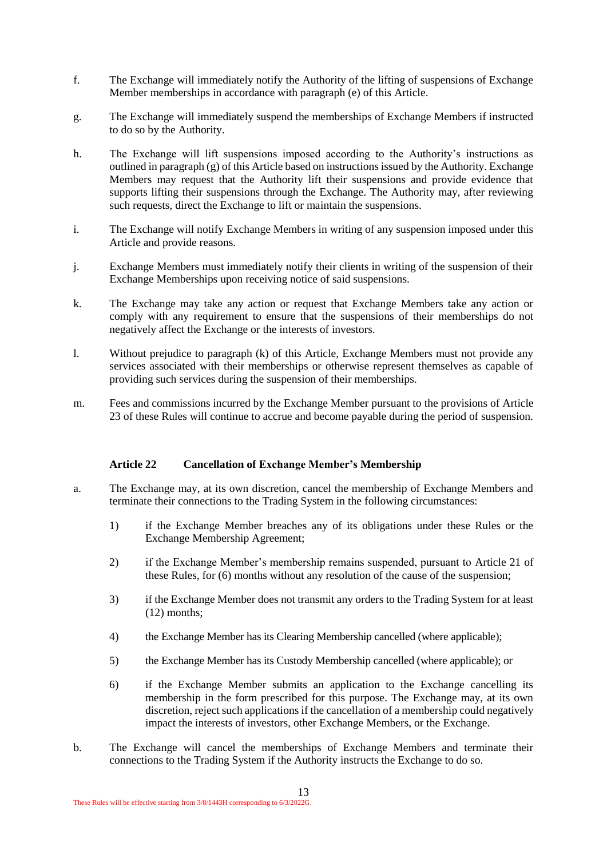- f. The Exchange will immediately notify the Authority of the lifting of suspensions of Exchange Member memberships in accordance with paragraph (e) of this Article.
- g. The Exchange will immediately suspend the memberships of Exchange Members if instructed to do so by the Authority.
- h. The Exchange will lift suspensions imposed according to the Authority's instructions as outlined in paragraph  $(g)$  of this Article based on instructions issued by the Authority. Exchange Members may request that the Authority lift their suspensions and provide evidence that supports lifting their suspensions through the Exchange. The Authority may, after reviewing such requests, direct the Exchange to lift or maintain the suspensions.
- i. The Exchange will notify Exchange Members in writing of any suspension imposed under this Article and provide reasons.
- j. Exchange Members must immediately notify their clients in writing of the suspension of their Exchange Memberships upon receiving notice of said suspensions.
- k. The Exchange may take any action or request that Exchange Members take any action or comply with any requirement to ensure that the suspensions of their memberships do not negatively affect the Exchange or the interests of investors.
- l. Without prejudice to paragraph (k) of this Article, Exchange Members must not provide any services associated with their memberships or otherwise represent themselves as capable of providing such services during the suspension of their memberships.
- m. Fees and commissions incurred by the Exchange Member pursuant to the provisions of Article 23 of these Rules will continue to accrue and become payable during the period of suspension.

#### **Article 22 Cancellation of Exchange Member's Membership**

- a. The Exchange may, at its own discretion, cancel the membership of Exchange Members and terminate their connections to the Trading System in the following circumstances:
	- 1) if the Exchange Member breaches any of its obligations under these Rules or the Exchange Membership Agreement;
	- 2) if the Exchange Member's membership remains suspended, pursuant to [Article 21](#page-11-1) of these Rules, for (6) months without any resolution of the cause of the suspension;
	- 3) if the Exchange Member does not transmit any orders to the Trading System for at least (12) months;
	- 4) the Exchange Member has its Clearing Membership cancelled (where applicable);
	- 5) the Exchange Member has its Custody Membership cancelled (where applicable); or
	- 6) if the Exchange Member submits an application to the Exchange cancelling its membership in the form prescribed for this purpose. The Exchange may, at its own discretion, reject such applications if the cancellation of a membership could negatively impact the interests of investors, other Exchange Members, or the Exchange.
- b. The Exchange will cancel the memberships of Exchange Members and terminate their connections to the Trading System if the Authority instructs the Exchange to do so.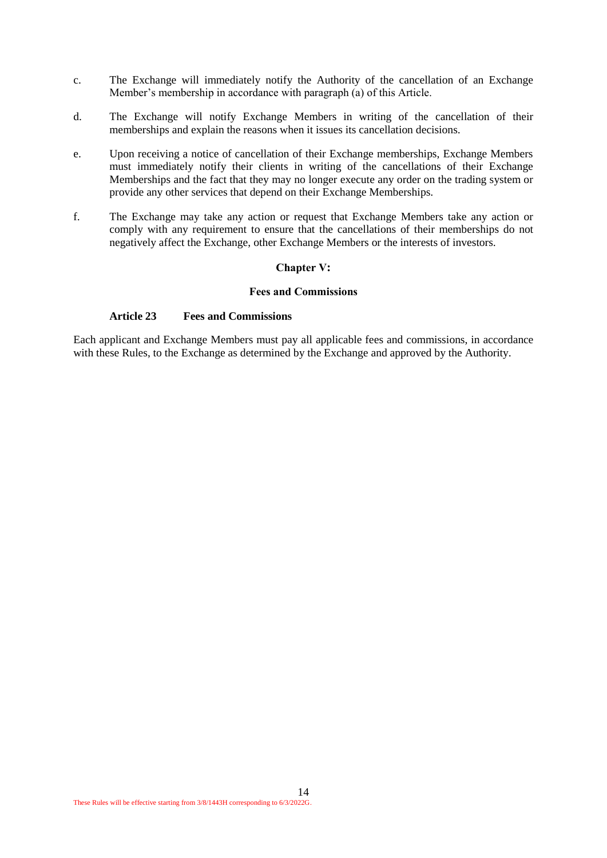- c. The Exchange will immediately notify the Authority of the cancellation of an Exchange Member's membership in accordance with paragraph (a) of this Article.
- d. The Exchange will notify Exchange Members in writing of the cancellation of their memberships and explain the reasons when it issues its cancellation decisions.
- e. Upon receiving a notice of cancellation of their Exchange memberships, Exchange Members must immediately notify their clients in writing of the cancellations of their Exchange Memberships and the fact that they may no longer execute any order on the trading system or provide any other services that depend on their Exchange Memberships.
- f. The Exchange may take any action or request that Exchange Members take any action or comply with any requirement to ensure that the cancellations of their memberships do not negatively affect the Exchange, other Exchange Members or the interests of investors.

#### **Chapter V:**

#### <span id="page-13-1"></span>**Fees and Commissions**

#### <span id="page-13-0"></span>**Article 23 Fees and Commissions**

Each applicant and Exchange Members must pay all applicable fees and commissions, in accordance with these Rules, to the Exchange as determined by the Exchange and approved by the Authority.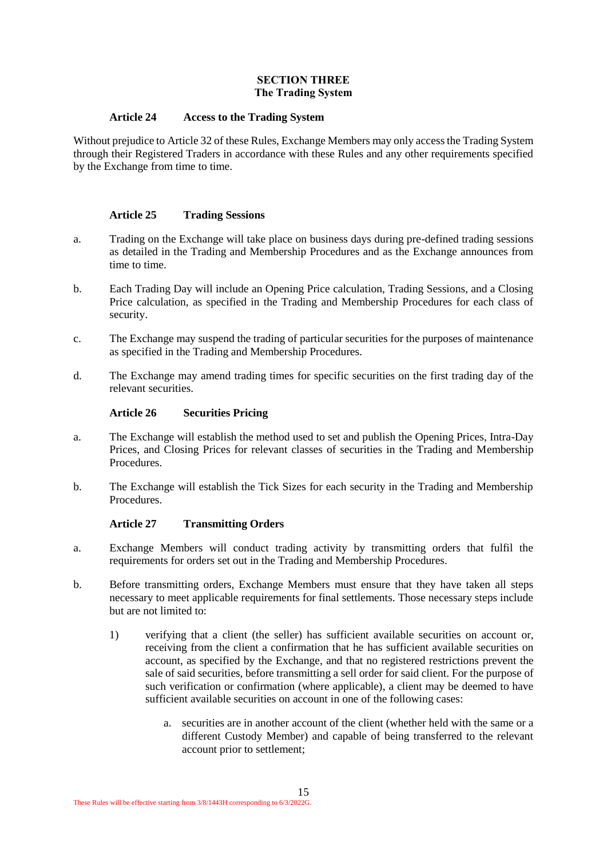#### **SECTION THREE The Trading System**

#### <span id="page-14-0"></span>**Article 24 Access to the Trading System**

Without prejudice to Article 32 of these Rules, Exchange Members may only access the Trading System through their Registered Traders in accordance with these Rules and any other requirements specified by the Exchange from time to time.

#### **Article 25 Trading Sessions**

- a. Trading on the Exchange will take place on business days during pre-defined trading sessions as detailed in the Trading and Membership Procedures and as the Exchange announces from time to time.
- b. Each Trading Day will include an Opening Price calculation, Trading Sessions, and a Closing Price calculation, as specified in the Trading and Membership Procedures for each class of security.
- c. The Exchange may suspend the trading of particular securities for the purposes of maintenance as specified in the Trading and Membership Procedures.
- d. The Exchange may amend trading times for specific securities on the first trading day of the relevant securities.

#### **Article 26 Securities Pricing**

- a. The Exchange will establish the method used to set and publish the Opening Prices, Intra-Day Prices, and Closing Prices for relevant classes of securities in the Trading and Membership Procedures.
- b. The Exchange will establish the Tick Sizes for each security in the Trading and Membership **Procedures**

#### **Article 27 Transmitting Orders**

- a. Exchange Members will conduct trading activity by transmitting orders that fulfil the requirements for orders set out in the Trading and Membership Procedures.
- b. Before transmitting orders, Exchange Members must ensure that they have taken all steps necessary to meet applicable requirements for final settlements. Those necessary steps include but are not limited to:
	- 1) verifying that a client (the seller) has sufficient available securities on account or, receiving from the client a confirmation that he has sufficient available securities on account, as specified by the Exchange, and that no registered restrictions prevent the sale of said securities, before transmitting a sell order for said client. For the purpose of such verification or confirmation (where applicable), a client may be deemed to have sufficient available securities on account in one of the following cases:
		- a. securities are in another account of the client (whether held with the same or a different Custody Member) and capable of being transferred to the relevant account prior to settlement;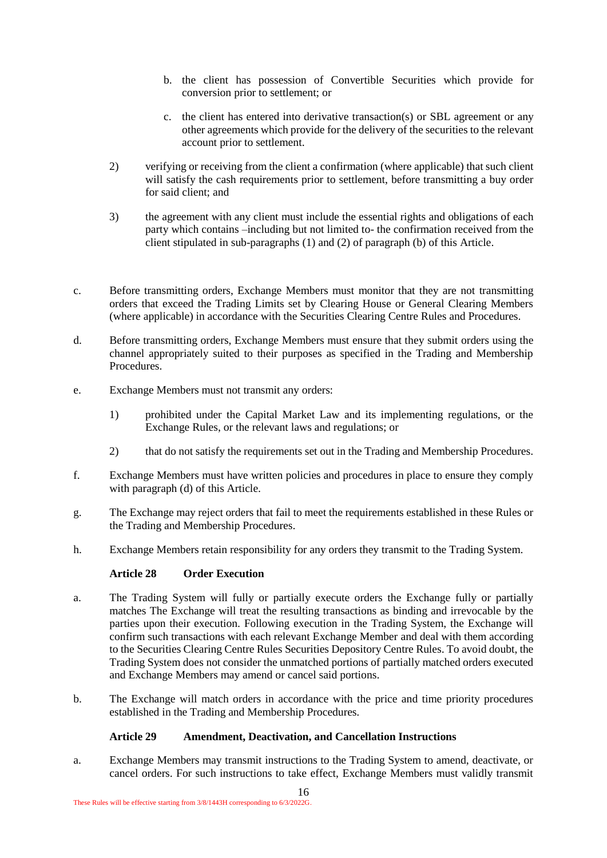- b. the client has possession of Convertible Securities which provide for conversion prior to settlement; or
- c. the client has entered into derivative transaction(s) or SBL agreement or any other agreements which provide for the delivery of the securities to the relevant account prior to settlement.
- 2) verifying or receiving from the client a confirmation (where applicable) that such client will satisfy the cash requirements prior to settlement, before transmitting a buy order for said client; and
- 3) the agreement with any client must include the essential rights and obligations of each party which contains –including but not limited to- the confirmation received from the client stipulated in sub-paragraphs (1) and (2) of paragraph (b) of this Article.
- c. Before transmitting orders, Exchange Members must monitor that they are not transmitting orders that exceed the Trading Limits set by Clearing House or General Clearing Members (where applicable) in accordance with the Securities Clearing Centre Rules and Procedures.
- d. Before transmitting orders, Exchange Members must ensure that they submit orders using the channel appropriately suited to their purposes as specified in the Trading and Membership **Procedures**
- e. Exchange Members must not transmit any orders:
	- 1) prohibited under the Capital Market Law and its implementing regulations, or the Exchange Rules, or the relevant laws and regulations; or
	- 2) that do not satisfy the requirements set out in the Trading and Membership Procedures.
- f. Exchange Members must have written policies and procedures in place to ensure they comply with paragraph (d) of this Article.
- g. The Exchange may reject orders that fail to meet the requirements established in these Rules or the Trading and Membership Procedures.
- h. Exchange Members retain responsibility for any orders they transmit to the Trading System.

# **Article 28 Order Execution**

- a. The Trading System will fully or partially execute orders the Exchange fully or partially matches The Exchange will treat the resulting transactions as binding and irrevocable by the parties upon their execution. Following execution in the Trading System, the Exchange will confirm such transactions with each relevant Exchange Member and deal with them according to the Securities Clearing Centre Rules Securities Depository Centre Rules. To avoid doubt, the Trading System does not consider the unmatched portions of partially matched orders executed and Exchange Members may amend or cancel said portions.
- b. The Exchange will match orders in accordance with the price and time priority procedures established in the Trading and Membership Procedures.

#### **Article 29 Amendment, Deactivation, and Cancellation Instructions**

a. Exchange Members may transmit instructions to the Trading System to amend, deactivate, or cancel orders. For such instructions to take effect, Exchange Members must validly transmit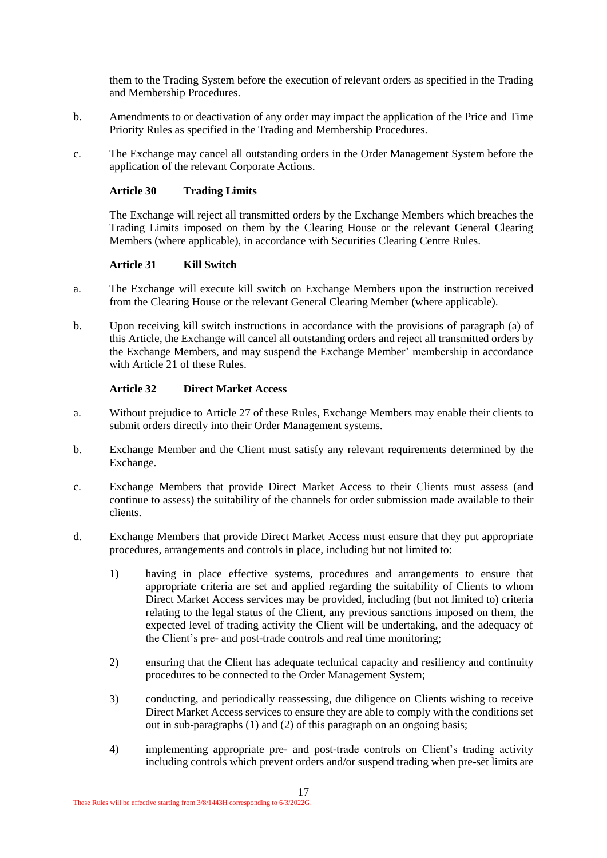them to the Trading System before the execution of relevant orders as specified in the Trading and Membership Procedures.

- b. Amendments to or deactivation of any order may impact the application of the Price and Time Priority Rules as specified in the Trading and Membership Procedures.
- c. The Exchange may cancel all outstanding orders in the Order Management System before the application of the relevant Corporate Actions.

#### **Article 30 Trading Limits**

The Exchange will reject all transmitted orders by the Exchange Members which breaches the Trading Limits imposed on them by the Clearing House or the relevant General Clearing Members (where applicable), in accordance with Securities Clearing Centre Rules.

# **Article 31 Kill Switch**

- a. The Exchange will execute kill switch on Exchange Members upon the instruction received from the Clearing House or the relevant General Clearing Member (where applicable).
- b. Upon receiving kill switch instructions in accordance with the provisions of paragraph (a) of this Article, the Exchange will cancel all outstanding orders and reject all transmitted orders by the Exchange Members, and may suspend the Exchange Member' membership in accordance with Article 21 of these Rules.

#### **Article 32 Direct Market Access**

- a. Without prejudice to Article 27 of these Rules, Exchange Members may enable their clients to submit orders directly into their Order Management systems.
- b. Exchange Member and the Client must satisfy any relevant requirements determined by the Exchange.
- c. Exchange Members that provide Direct Market Access to their Clients must assess (and continue to assess) the suitability of the channels for order submission made available to their clients.
- d. Exchange Members that provide Direct Market Access must ensure that they put appropriate procedures, arrangements and controls in place, including but not limited to:
	- 1) having in place effective systems, procedures and arrangements to ensure that appropriate criteria are set and applied regarding the suitability of Clients to whom Direct Market Access services may be provided, including (but not limited to) criteria relating to the legal status of the Client, any previous sanctions imposed on them, the expected level of trading activity the Client will be undertaking, and the adequacy of the Client's pre- and post-trade controls and real time monitoring;
	- 2) ensuring that the Client has adequate technical capacity and resiliency and continuity procedures to be connected to the Order Management System;
	- 3) conducting, and periodically reassessing, due diligence on Clients wishing to receive Direct Market Access services to ensure they are able to comply with the conditions set out in sub-paragraphs (1) and (2) of this paragraph on an ongoing basis;
	- 4) implementing appropriate pre- and post-trade controls on Client's trading activity including controls which prevent orders and/or suspend trading when pre-set limits are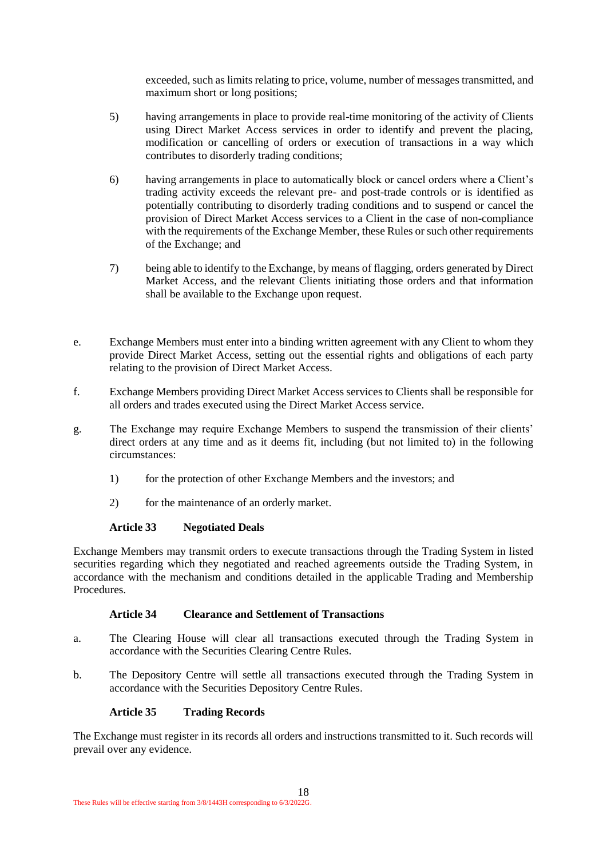exceeded, such as limits relating to price, volume, number of messages transmitted, and maximum short or long positions;

- 5) having arrangements in place to provide real-time monitoring of the activity of Clients using Direct Market Access services in order to identify and prevent the placing, modification or cancelling of orders or execution of transactions in a way which contributes to disorderly trading conditions;
- 6) having arrangements in place to automatically block or cancel orders where a Client's trading activity exceeds the relevant pre- and post-trade controls or is identified as potentially contributing to disorderly trading conditions and to suspend or cancel the provision of Direct Market Access services to a Client in the case of non-compliance with the requirements of the Exchange Member, these Rules or such other requirements of the Exchange; and
- 7) being able to identify to the Exchange, by means of flagging, orders generated by Direct Market Access, and the relevant Clients initiating those orders and that information shall be available to the Exchange upon request.
- e. Exchange Members must enter into a binding written agreement with any Client to whom they provide Direct Market Access, setting out the essential rights and obligations of each party relating to the provision of Direct Market Access.
- f. Exchange Members providing Direct Market Access services to Clients shall be responsible for all orders and trades executed using the Direct Market Access service.
- g. The Exchange may require Exchange Members to suspend the transmission of their clients' direct orders at any time and as it deems fit, including (but not limited to) in the following circumstances:
	- 1) for the protection of other Exchange Members and the investors; and
	- 2) for the maintenance of an orderly market.

#### **Article 33 Negotiated Deals**

Exchange Members may transmit orders to execute transactions through the Trading System in listed securities regarding which they negotiated and reached agreements outside the Trading System, in accordance with the mechanism and conditions detailed in the applicable Trading and Membership Procedures.

#### **Article 34 Clearance and Settlement of Transactions**

- a. The Clearing House will clear all transactions executed through the Trading System in accordance with the Securities Clearing Centre Rules.
- b. The Depository Centre will settle all transactions executed through the Trading System in accordance with the Securities Depository Centre Rules.

#### **Article 35 Trading Records**

The Exchange must register in its records all orders and instructions transmitted to it. Such records will prevail over any evidence.

18